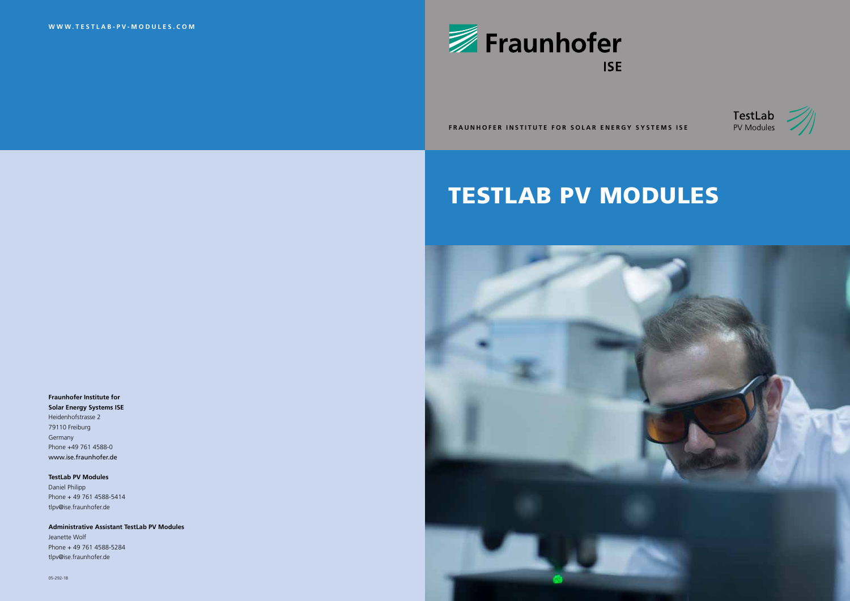**FRAUNHOFER INSTITUTE FOR SOLAR ENERGY SYSTEMS ISE**

# TESTLAB PV MODULES







## **Fraunhofer Institute for**

**Solar Energy Systems ISE** Heidenhofstrasse 2 79110 Freiburg Germany Phone +49 761 4588-0 www.ise.fraunhofer.de

**TestLab PV Modules** Daniel Philipp Phone + 49 761 4588-5414 tlpv@ise.fraunhofer.de

**Administrative Assistant TestLab PV Modules** Jeanette Wolf Phone + 49 761 4588-5284

tlpv@ise.fraunhofer.de